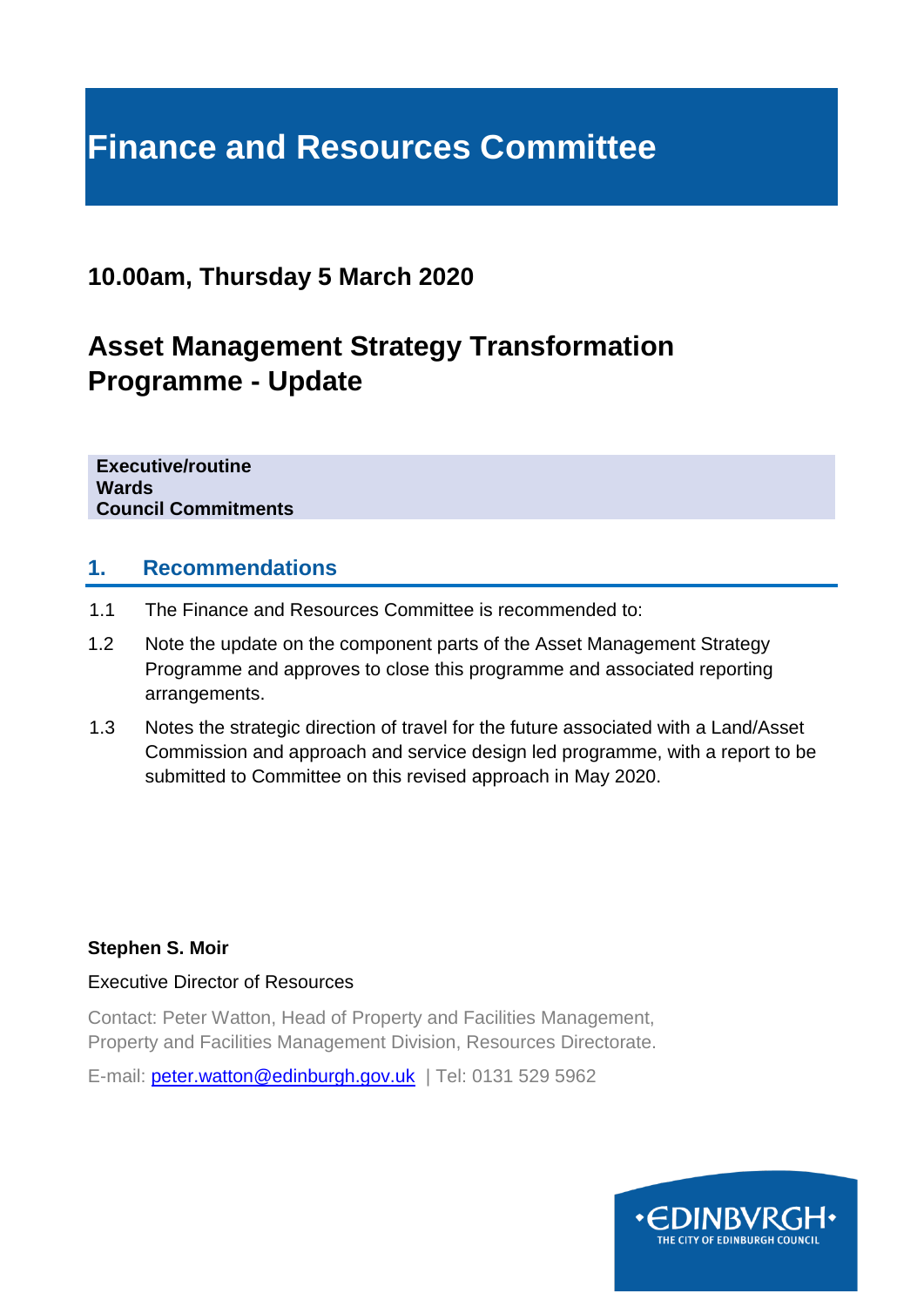# **Finance and Resources Committee**

## **10.00am, Thursday 5 March 2020**

## **Asset Management Strategy Transformation Programme - Update**

**Executive/routine Wards Council Commitments**

### **1. Recommendations**

- 1.1 The Finance and Resources Committee is recommended to:
- 1.2 Note the update on the component parts of the Asset Management Strategy Programme and approves to close this programme and associated reporting arrangements.
- 1.3 Notes the strategic direction of travel for the future associated with a Land/Asset Commission and approach and service design led programme, with a report to be submitted to Committee on this revised approach in May 2020.

#### **Stephen S. Moir**

Executive Director of Resources

Contact: Peter Watton, Head of Property and Facilities Management, Property and Facilities Management Division, Resources Directorate.

E-mail: [peter.watton@edinburgh.gov.uk](mailto:peter.watton@edinburgh.gov.uk) | Tel: 0131 529 5962

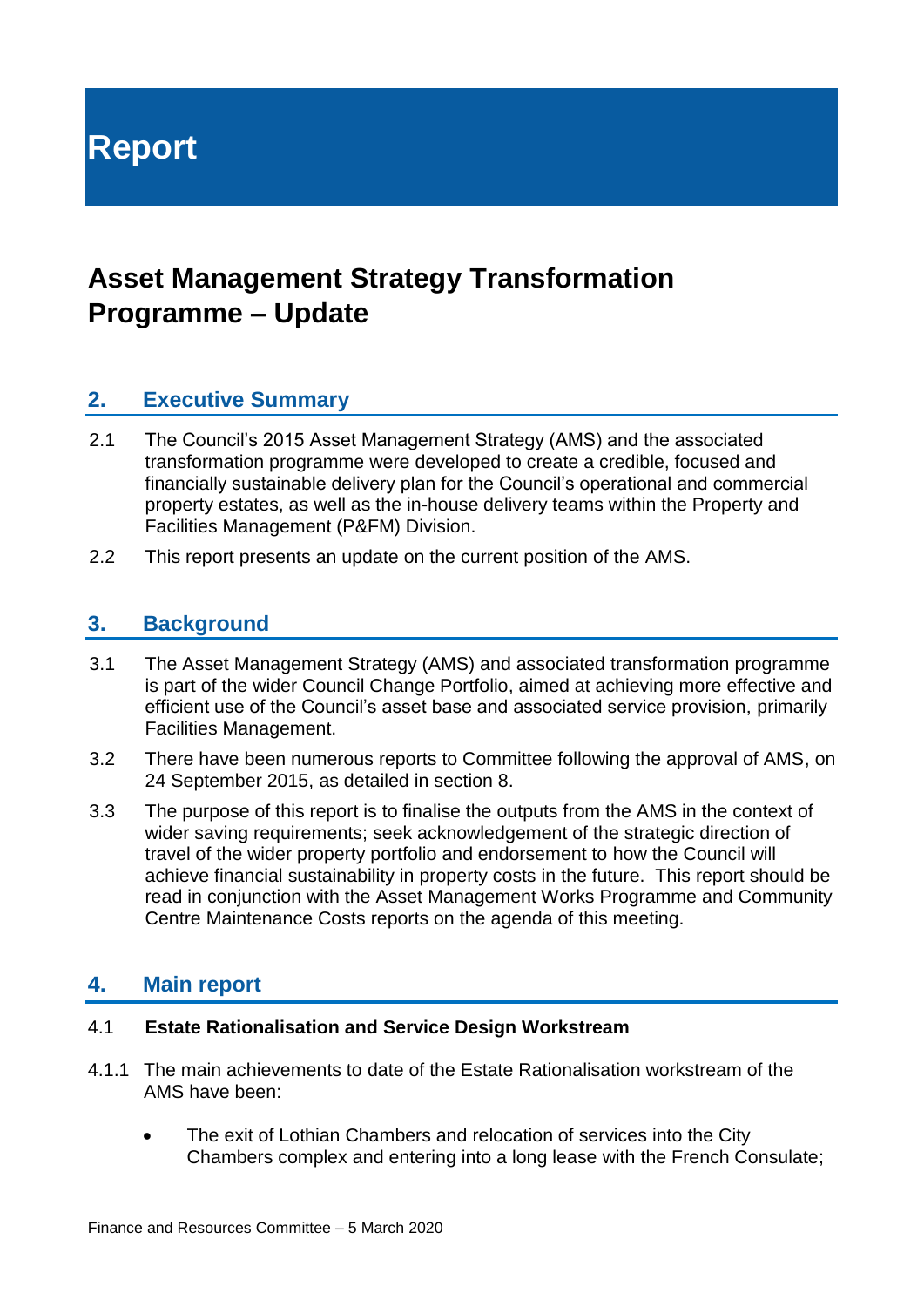**Report**

## **Asset Management Strategy Transformation Programme – Update**

## **2. Executive Summary**

- 2.1 The Council's 2015 Asset Management Strategy (AMS) and the associated transformation programme were developed to create a credible, focused and financially sustainable delivery plan for the Council's operational and commercial property estates, as well as the in-house delivery teams within the Property and Facilities Management (P&FM) Division.
- 2.2 This report presents an update on the current position of the AMS.

### **3. Background**

- 3.1 The Asset Management Strategy (AMS) and associated transformation programme is part of the wider Council Change Portfolio, aimed at achieving more effective and efficient use of the Council's asset base and associated service provision, primarily Facilities Management.
- 3.2 There have been numerous reports to Committee following the approval of AMS, on 24 September 2015, as detailed in section 8.
- 3.3 The purpose of this report is to finalise the outputs from the AMS in the context of wider saving requirements; seek acknowledgement of the strategic direction of travel of the wider property portfolio and endorsement to how the Council will achieve financial sustainability in property costs in the future. This report should be read in conjunction with the Asset Management Works Programme and Community Centre Maintenance Costs reports on the agenda of this meeting.

### **4. Main report**

#### 4.1 **Estate Rationalisation and Service Design Workstream**

- 4.1.1 The main achievements to date of the Estate Rationalisation workstream of the AMS have been:
	- The exit of Lothian Chambers and relocation of services into the City Chambers complex and entering into a long lease with the French Consulate;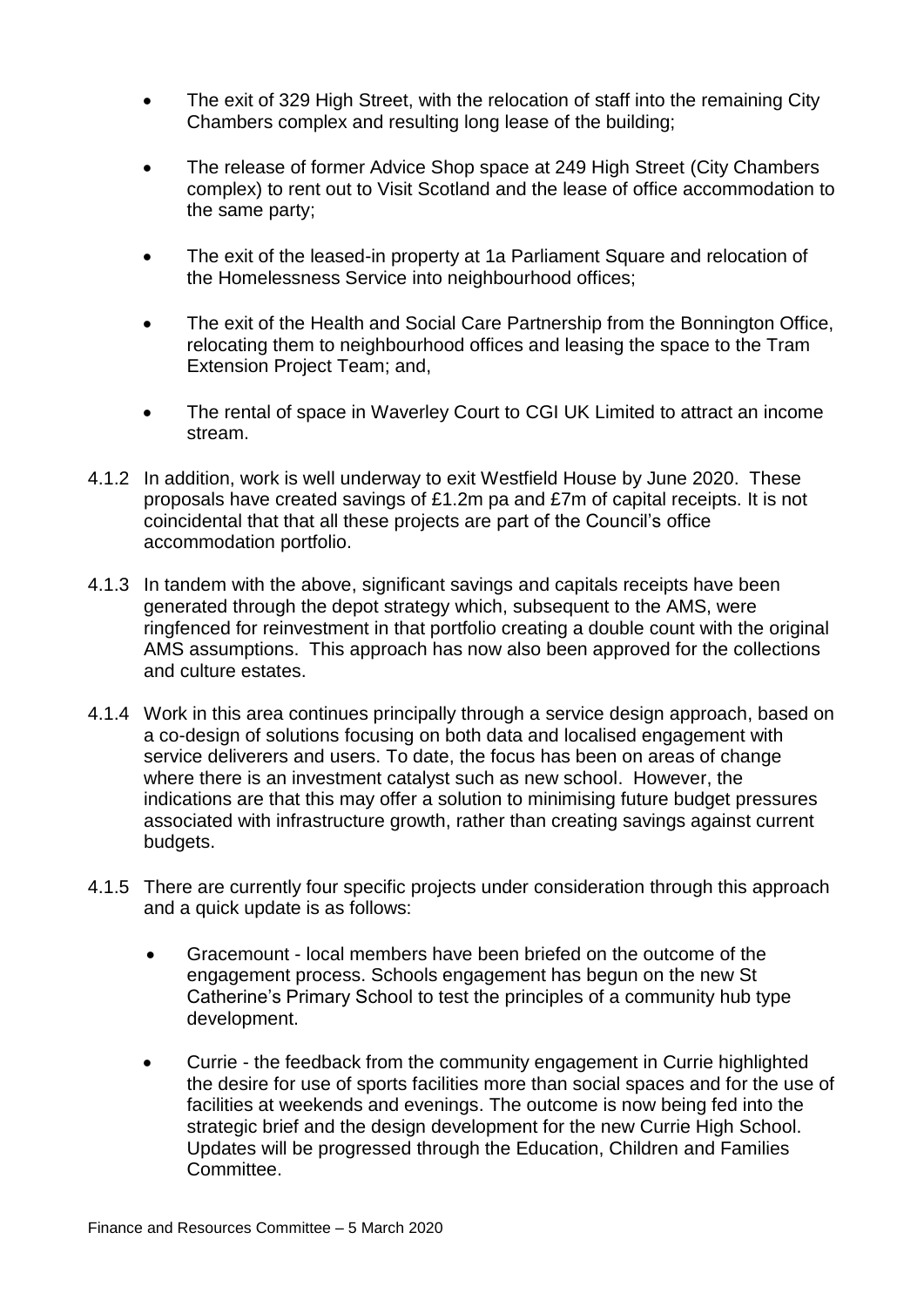- The exit of 329 High Street, with the relocation of staff into the remaining City Chambers complex and resulting long lease of the building;
- The release of former Advice Shop space at 249 High Street (City Chambers complex) to rent out to Visit Scotland and the lease of office accommodation to the same party;
- The exit of the leased-in property at 1a Parliament Square and relocation of the Homelessness Service into neighbourhood offices;
- The exit of the Health and Social Care Partnership from the Bonnington Office, relocating them to neighbourhood offices and leasing the space to the Tram Extension Project Team; and,
- The rental of space in Waverley Court to CGI UK Limited to attract an income stream.
- 4.1.2 In addition, work is well underway to exit Westfield House by June 2020. These proposals have created savings of £1.2m pa and £7m of capital receipts. It is not coincidental that that all these projects are part of the Council's office accommodation portfolio.
- 4.1.3 In tandem with the above, significant savings and capitals receipts have been generated through the depot strategy which, subsequent to the AMS, were ringfenced for reinvestment in that portfolio creating a double count with the original AMS assumptions. This approach has now also been approved for the collections and culture estates.
- 4.1.4 Work in this area continues principally through a service design approach, based on a co-design of solutions focusing on both data and localised engagement with service deliverers and users. To date, the focus has been on areas of change where there is an investment catalyst such as new school. However, the indications are that this may offer a solution to minimising future budget pressures associated with infrastructure growth, rather than creating savings against current budgets.
- 4.1.5 There are currently four specific projects under consideration through this approach and a quick update is as follows:
	- Gracemount local members have been briefed on the outcome of the engagement process. Schools engagement has begun on the new St Catherine's Primary School to test the principles of a community hub type development.
	- Currie the feedback from the community engagement in Currie highlighted the desire for use of sports facilities more than social spaces and for the use of facilities at weekends and evenings. The outcome is now being fed into the strategic brief and the design development for the new Currie High School. Updates will be progressed through the Education, Children and Families **Committee**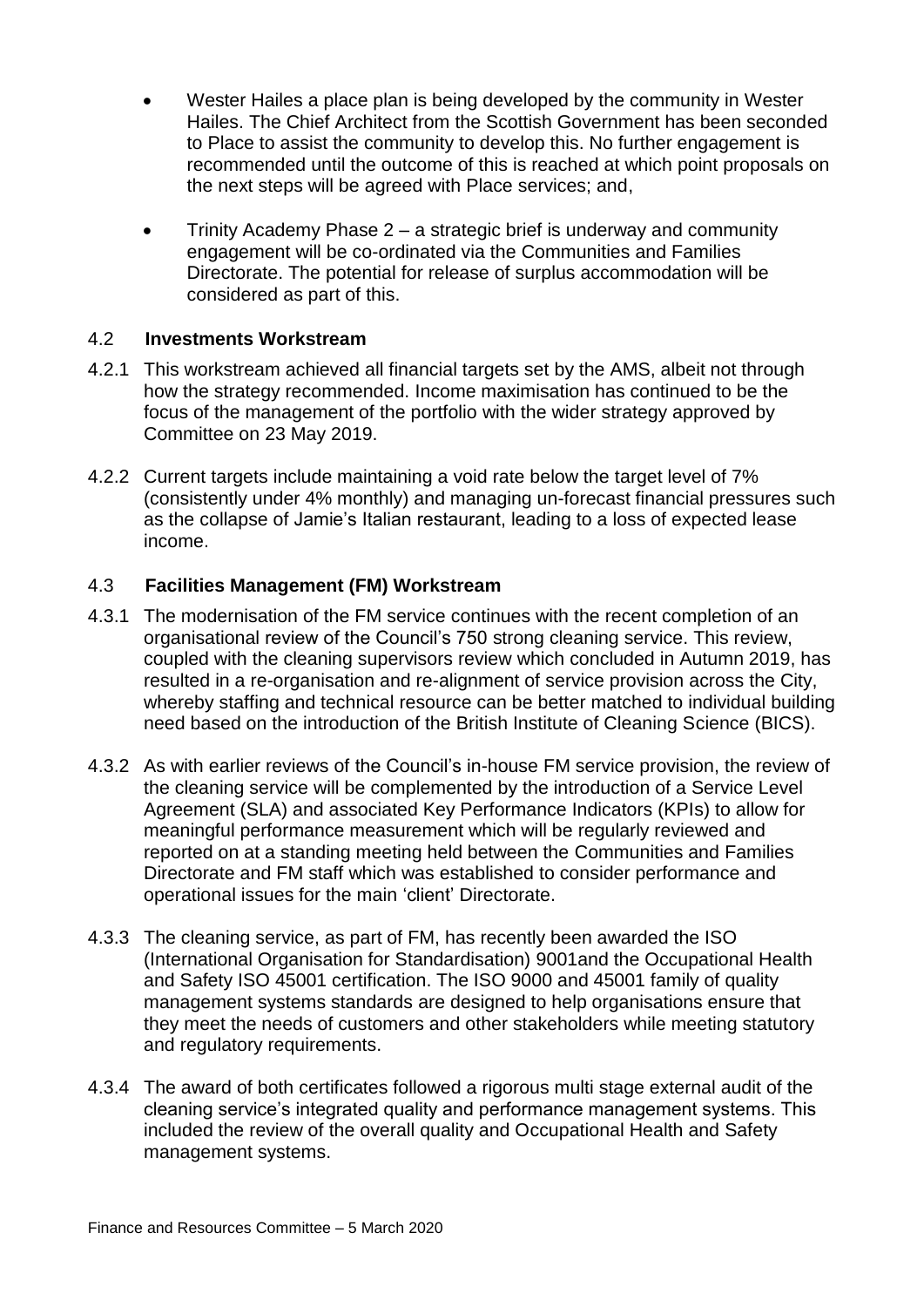- Wester Hailes a place plan is being developed by the community in Wester Hailes. The Chief Architect from the Scottish Government has been seconded to Place to assist the community to develop this. No further engagement is recommended until the outcome of this is reached at which point proposals on the next steps will be agreed with Place services; and,
- Trinity Academy Phase 2 a strategic brief is underway and community engagement will be co-ordinated via the Communities and Families Directorate. The potential for release of surplus accommodation will be considered as part of this.

#### 4.2 **Investments Workstream**

- 4.2.1 This workstream achieved all financial targets set by the AMS, albeit not through how the strategy recommended. Income maximisation has continued to be the focus of the management of the portfolio with the wider strategy approved by Committee on 23 May 2019.
- 4.2.2 Current targets include maintaining a void rate below the target level of 7% (consistently under 4% monthly) and managing un-forecast financial pressures such as the collapse of Jamie's Italian restaurant, leading to a loss of expected lease income.

#### 4.3 **Facilities Management (FM) Workstream**

- 4.3.1 The modernisation of the FM service continues with the recent completion of an organisational review of the Council's 750 strong cleaning service. This review, coupled with the cleaning supervisors review which concluded in Autumn 2019, has resulted in a re-organisation and re-alignment of service provision across the City, whereby staffing and technical resource can be better matched to individual building need based on the introduction of the British Institute of Cleaning Science (BICS).
- 4.3.2 As with earlier reviews of the Council's in-house FM service provision, the review of the cleaning service will be complemented by the introduction of a Service Level Agreement (SLA) and associated Key Performance Indicators (KPIs) to allow for meaningful performance measurement which will be regularly reviewed and reported on at a standing meeting held between the Communities and Families Directorate and FM staff which was established to consider performance and operational issues for the main 'client' Directorate.
- 4.3.3 The cleaning service, as part of FM, has recently been awarded the ISO (International Organisation for Standardisation) 9001and the Occupational Health and Safety ISO 45001 certification. The ISO 9000 and 45001 family of quality management systems standards are designed to help organisations ensure that they meet the needs of customers and other stakeholders while meeting statutory and regulatory requirements.
- 4.3.4 The award of both certificates followed a rigorous multi stage external audit of the cleaning service's integrated quality and performance management systems. This included the review of the overall quality and Occupational Health and Safety management systems.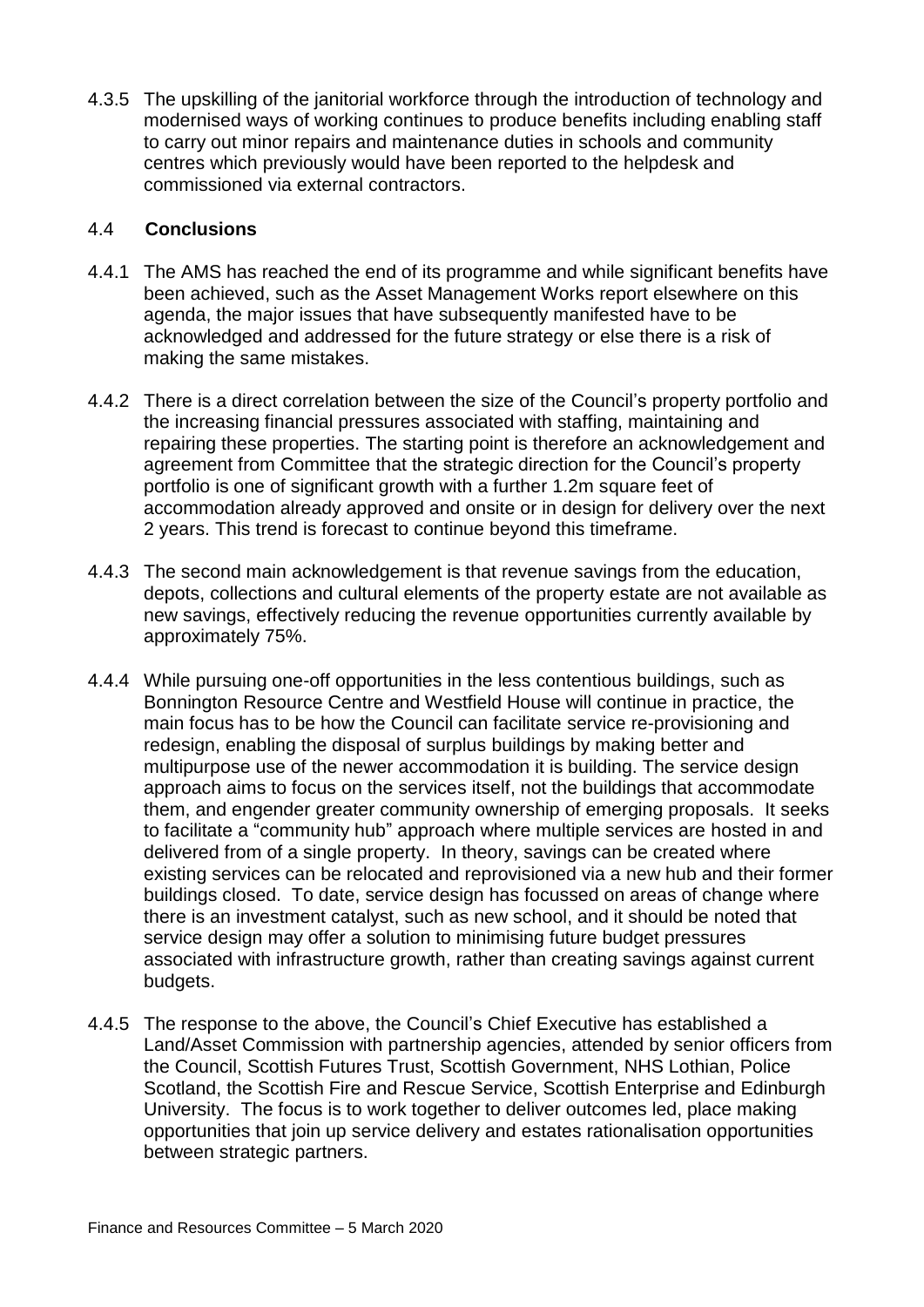4.3.5 The upskilling of the janitorial workforce through the introduction of technology and modernised ways of working continues to produce benefits including enabling staff to carry out minor repairs and maintenance duties in schools and community centres which previously would have been reported to the helpdesk and commissioned via external contractors.

#### 4.4 **Conclusions**

- 4.4.1 The AMS has reached the end of its programme and while significant benefits have been achieved, such as the Asset Management Works report elsewhere on this agenda, the major issues that have subsequently manifested have to be acknowledged and addressed for the future strategy or else there is a risk of making the same mistakes.
- 4.4.2 There is a direct correlation between the size of the Council's property portfolio and the increasing financial pressures associated with staffing, maintaining and repairing these properties. The starting point is therefore an acknowledgement and agreement from Committee that the strategic direction for the Council's property portfolio is one of significant growth with a further 1.2m square feet of accommodation already approved and onsite or in design for delivery over the next 2 years. This trend is forecast to continue beyond this timeframe.
- 4.4.3 The second main acknowledgement is that revenue savings from the education, depots, collections and cultural elements of the property estate are not available as new savings, effectively reducing the revenue opportunities currently available by approximately 75%.
- 4.4.4 While pursuing one-off opportunities in the less contentious buildings, such as Bonnington Resource Centre and Westfield House will continue in practice, the main focus has to be how the Council can facilitate service re-provisioning and redesign, enabling the disposal of surplus buildings by making better and multipurpose use of the newer accommodation it is building. The service design approach aims to focus on the services itself, not the buildings that accommodate them, and engender greater community ownership of emerging proposals. It seeks to facilitate a "community hub" approach where multiple services are hosted in and delivered from of a single property. In theory, savings can be created where existing services can be relocated and reprovisioned via a new hub and their former buildings closed. To date, service design has focussed on areas of change where there is an investment catalyst, such as new school, and it should be noted that service design may offer a solution to minimising future budget pressures associated with infrastructure growth, rather than creating savings against current budgets.
- 4.4.5 The response to the above, the Council's Chief Executive has established a Land/Asset Commission with partnership agencies, attended by senior officers from the Council, Scottish Futures Trust, Scottish Government, NHS Lothian, Police Scotland, the Scottish Fire and Rescue Service, Scottish Enterprise and Edinburgh University. The focus is to work together to deliver outcomes led, place making opportunities that join up service delivery and estates rationalisation opportunities between strategic partners.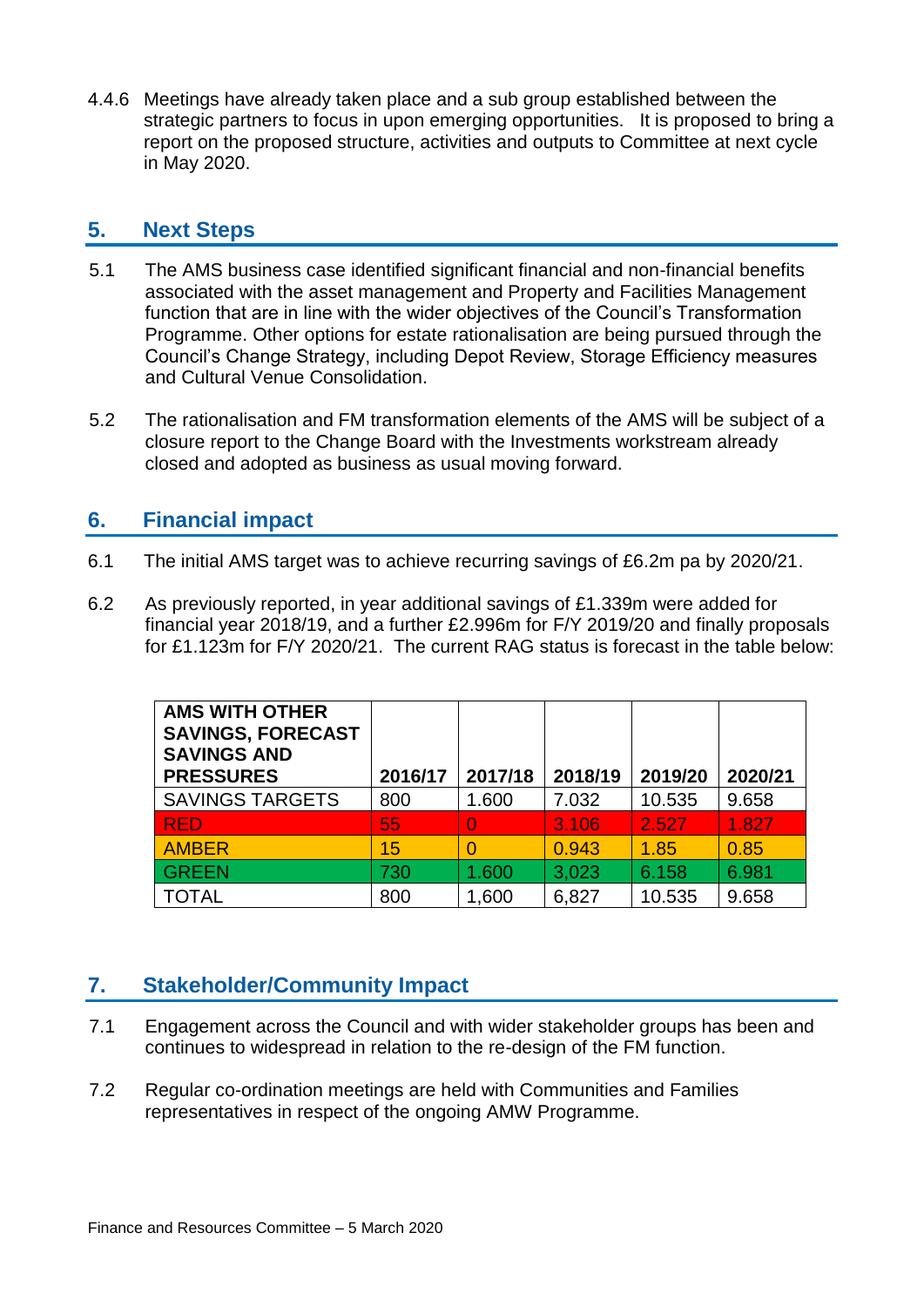4.4.6 Meetings have already taken place and a sub group established between the strategic partners to focus in upon emerging opportunities. It is proposed to bring a report on the proposed structure, activities and outputs to Committee at next cycle in May 2020.

## **5. Next Steps**

- 5.1 The AMS business case identified significant financial and non-financial benefits associated with the asset management and Property and Facilities Management function that are in line with the wider objectives of the Council's Transformation Programme. Other options for estate rationalisation are being pursued through the Council's Change Strategy, including Depot Review, Storage Efficiency measures and Cultural Venue Consolidation.
- 5.2 The rationalisation and FM transformation elements of the AMS will be subject of a closure report to the Change Board with the Investments workstream already closed and adopted as business as usual moving forward.

## **6. Financial impact**

- 6.1 The initial AMS target was to achieve recurring savings of £6.2m pa by 2020/21.
- 6.2 As previously reported, in year additional savings of £1.339m were added for financial year 2018/19, and a further £2.996m for F/Y 2019/20 and finally proposals for £1.123m for F/Y 2020/21. The current RAG status is forecast in the table below:

| <b>AMS WITH OTHER</b><br><b>SAVINGS, FORECAST</b><br><b>SAVINGS AND</b><br><b>PRESSURES</b> | 2016/17 | 2017/18 | 2018/19 | 2019/20 | 2020/21 |
|---------------------------------------------------------------------------------------------|---------|---------|---------|---------|---------|
| <b>SAVINGS TARGETS</b>                                                                      | 800     | 1.600   | 7.032   | 10.535  | 9.658   |
| <b>RED</b>                                                                                  | 55      | O       | 3.106   | 2.527   | 1.827   |
| <b>AMBER</b>                                                                                | 15      |         | 0.943   | 1.85    | 0.85    |
| <b>GREEN</b>                                                                                | 730     | 1.600   | 3,023   | 6.158   | 6.981   |
| <b>TOTAL</b>                                                                                | 800     | 1,600   | 6,827   | 10.535  | 9.658   |

## **7. Stakeholder/Community Impact**

- 7.1 Engagement across the Council and with wider stakeholder groups has been and continues to widespread in relation to the re-design of the FM function.
- 7.2 Regular co-ordination meetings are held with Communities and Families representatives in respect of the ongoing AMW Programme.